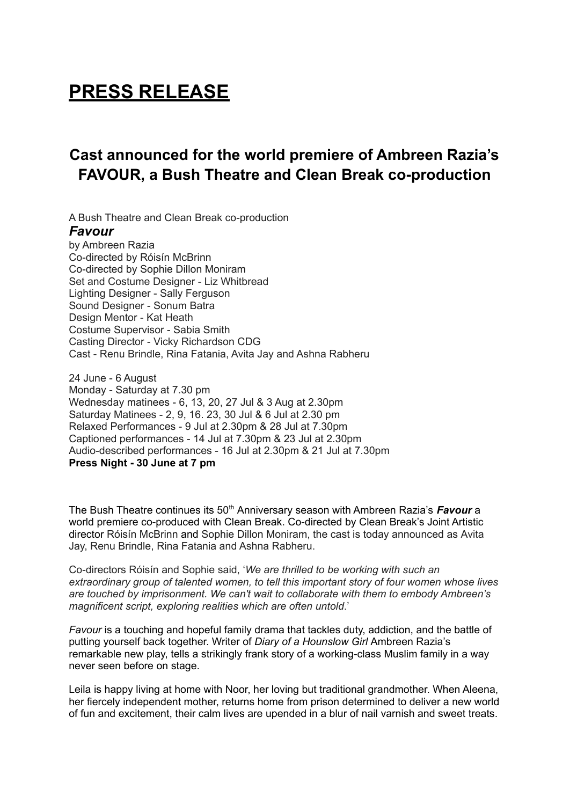# **PRESS RELEASE**

## **Cast announced for the world premiere of Ambreen Razia's FAVOUR, a Bush Theatre and Clean Break co-production**

A Bush Theatre and Clean Break co-production *Favour* by Ambreen Razia Co-directed by Róisín McBrinn Co-directed by Sophie Dillon Moniram Set and Costume Designer - Liz Whitbread Lighting Designer - Sally Ferguson Sound Designer - Sonum Batra Design Mentor - Kat Heath Costume Supervisor - Sabia Smith Casting Director - Vicky Richardson CDG Cast - Renu Brindle, Rina Fatania, Avita Jay and Ashna Rabheru

24 June - 6 August Monday - Saturday at 7.30 pm Wednesday matinees - 6, 13, 20, 27 Jul & 3 Aug at 2.30pm Saturday Matinees - 2, 9, 16. 23, 30 Jul & 6 Jul at 2.30 pm Relaxed Performances - 9 Jul at 2.30pm & 28 Jul at 7.30pm Captioned performances - 14 Jul at 7.30pm & 23 Jul at 2.30pm Audio-described performances - 16 Jul at 2.30pm & 21 Jul at 7.30pm **Press Night - 30 June at 7 pm**

The Bush Theatre continues its 50<sup>th</sup> Anniversary season with Ambreen Razia's Favour a world premiere co-produced with Clean Break. Co-directed by Clean Break's Joint Artistic director Róisín McBrinn and Sophie Dillon Moniram, the cast is today announced as Avita Jay, Renu Brindle, Rina Fatania and Ashna Rabheru.

Co-directors Róisín and Sophie said, '*We are thrilled to be working with such an extraordinary group of talented women, to tell this important story of four women whose lives are touched by imprisonment. We can't wait to collaborate with them to embody Ambreen's magnificent script, exploring realities which are often untold*.'

*Favour* is a touching and hopeful family drama that tackles duty, addiction, and the battle of putting yourself back together. Writer of *Diary of a Hounslow Girl* Ambreen Razia's remarkable new play, tells a strikingly frank story of a working-class Muslim family in a way never seen before on stage.

Leila is happy living at home with Noor, her loving but traditional grandmother. When Aleena, her fiercely independent mother, returns home from prison determined to deliver a new world of fun and excitement, their calm lives are upended in a blur of nail varnish and sweet treats.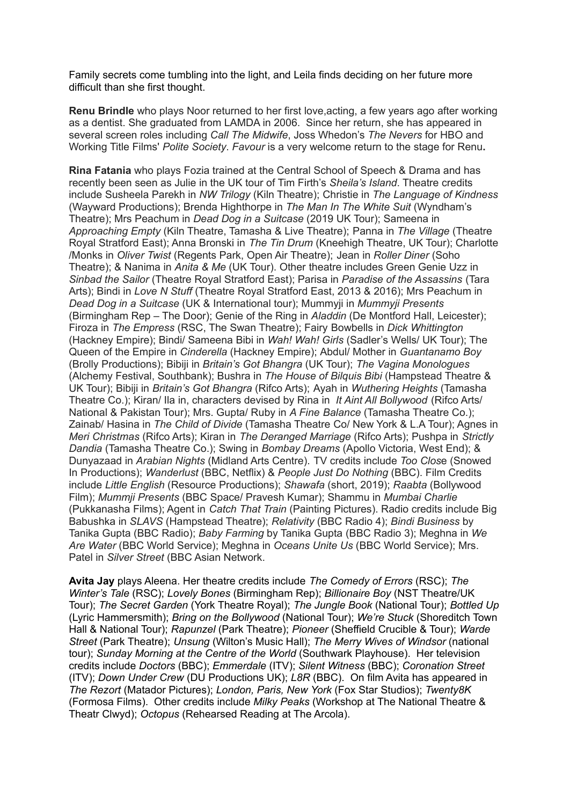Family secrets come tumbling into the light, and Leila finds deciding on her future more difficult than she first thought.

**Renu Brindle** who plays Noor returned to her first love,acting, a few years ago after working as a dentist. She graduated from LAMDA in 2006. Since her return, she has appeared in several screen roles including *Call The Midwife*, Joss Whedon's *The Nevers* for HBO and Working Title Films' *Polite Society*. *Favour* is a very welcome return to the stage for Renu**.**

**Rina Fatania** who plays Fozia trained at the Central School of Speech & Drama and has recently been seen as Julie in the UK tour of Tim Firth's *Sheila's Island*. Theatre credits include Susheela Parekh in *NW Trilogy* (Kiln Theatre); Christie in *The Language of Kindness* (Wayward Productions); Brenda Highthorpe in *The Man In The White Suit* (Wyndham's Theatre); Mrs Peachum in *Dead Dog in a Suitcase* (2019 UK Tour); Sameena in *Approaching Empty* (Kiln Theatre, Tamasha & Live Theatre); Panna in *The Village* (Theatre Royal Stratford East); Anna Bronski in *The Tin Drum* (Kneehigh Theatre, UK Tour); Charlotte /Monks in *Oliver Twist* (Regents Park, Open Air Theatre); Jean in *Roller Diner* (Soho Theatre); & Nanima in *Anita & Me* (UK Tour). Other theatre includes Green Genie Uzz in *Sinbad the Sailor* (Theatre Royal Stratford East); Parisa in *Paradise of the Assassins* (Tara Arts); Bindi in *Love N Stuff* (Theatre Royal Stratford East, 2013 & 2016); Mrs Peachum in *Dead Dog in a Suitcase* (UK & International tour); Mummyji in *Mummyji Presents* (Birmingham Rep – The Door); Genie of the Ring in *Aladdin* (De Montford Hall, Leicester); Firoza in *The Empress* (RSC, The Swan Theatre); Fairy Bowbells in *Dick Whittington* (Hackney Empire); Bindi/ Sameena Bibi in *Wah! Wah! Girls* (Sadler's Wells/ UK Tour); The Queen of the Empire in *Cinderella* (Hackney Empire); Abdul/ Mother in *Guantanamo Boy* (Brolly Productions); Bibiji in *Britain's Got Bhangra* (UK Tour); *The Vagina Monologues* (Alchemy Festival, Southbank); Bushra in *The House of Bilquis Bibi* (Hampstead Theatre & UK Tour); Bibiji in *Britain's Got Bhangra* (Rifco Arts); Ayah in *Wuthering Heights* (Tamasha Theatre Co.); Kiran/ Ila in, characters devised by Rina in *It Aint All Bollywood* (Rifco Arts/ National & Pakistan Tour); Mrs. Gupta/ Ruby in *A Fine Balance* (Tamasha Theatre Co.); Zainab/ Hasina in *The Child of Divide* (Tamasha Theatre Co/ New York & L.A Tour); Agnes in *Meri Christmas* (Rifco Arts); Kiran in *The Deranged Marriage* (Rifco Arts); Pushpa in *Strictly Dandia* (Tamasha Theatre Co.); Swing in *Bombay Dreams* (Apollo Victoria, West End); & Dunyazaad in *Arabian Nights* (Midland Arts Centre). TV credits include *Too Clos*e (Snowed In Productions); *Wanderlust* (BBC, Netflix) & *People Just Do Nothing* (BBC). Film Credits include *Little English* (Resource Productions); *Shawafa* (short, 2019); *Raabta* (Bollywood Film); *Mummji Presents* (BBC Space/ Pravesh Kumar); Shammu in *Mumbai Charlie* (Pukkanasha Films); Agent in *Catch That Train* (Painting Pictures). Radio credits include Big Babushka in *SLAVS* (Hampstead Theatre); *Relativity* (BBC Radio 4); *Bindi Business* by Tanika Gupta (BBC Radio); *Baby Farming* by Tanika Gupta (BBC Radio 3); Meghna in *We Are Water* (BBC World Service); Meghna in *Oceans Unite Us* (BBC World Service); Mrs. Patel in *Silver Street* (BBC Asian Network.

**Avita Jay** plays Aleena. Her theatre credits include *The Comedy of Errors* (RSC); *The Winter's Tale* (RSC); *Lovely Bones* (Birmingham Rep); *Billionaire Boy* (NST Theatre/UK Tour); *The Secret Garden* (York Theatre Royal); *The Jungle Book* (National Tour); *Bottled Up* (Lyric Hammersmith); *Bring on the Bollywood* (National Tour); *We're Stuck* (Shoreditch Town Hall & National Tour); *Rapunzel* (Park Theatre); *Pioneer* (Sheffield Crucible & Tour); *Warde Street* (Park Theatre); *Unsung* (Wilton's Music Hall); *The Merry Wives of Windsor* (national tour); *Sunday Morning at the Centre of the World* (Southwark Playhouse). Her television credits include *Doctors* (BBC); *Emmerdale* (ITV); *Silent Witness* (BBC); *Coronation Street* (ITV); *Down Under Crew* (DU Productions UK); *L8R* (BBC). On film Avita has appeared in *The Rezort* (Matador Pictures); *London, Paris, New York* (Fox Star Studios); *Twenty8K* (Formosa Films). Other credits include *Milky Peaks* (Workshop at The National Theatre & Theatr Clwyd); *Octopus* (Rehearsed Reading at The Arcola).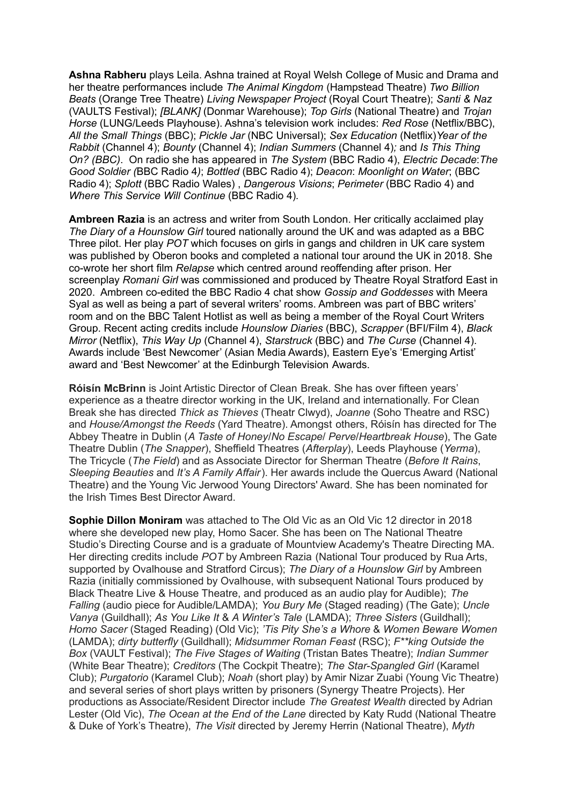**Ashna Rabheru** plays Leila. Ashna trained at Royal Welsh College of Music and Drama and her theatre performances include *The Animal Kingdom* (Hampstead Theatre) *Two Billion Beats* (Orange Tree Theatre) *Living Newspaper Project* (Royal Court Theatre); *Santi & Naz* (VAULTS Festival); *[BLANK]* (Donmar Warehouse); *Top Girls* (National Theatre) and *Trojan Horse* (LUNG/Leeds Playhouse). Ashna's television work includes: *Red Rose* (Netflix/BBC), *All the Small Things* (BBC); *Pickle Jar* (NBC Universal); *Sex Education* (Netflix)*Year of the Rabbit* (Channel 4); *Bounty* (Channel 4); *Indian Summers* (Channel 4)*;* and *Is This Thing On? (BBC)*. On radio she has appeared in *The System* (BBC Radio 4), *Electric Decade*:*The Good Soldier (*BBC Radio 4*)*; *Bottled* (BBC Radio 4); *Deacon*: *Moonlight on Water*; (BBC Radio 4); *Splott* (BBC Radio Wales) , *Dangerous Visions*; *Perimeter* (BBC Radio 4) and *Where This Service Will Continue* (BBC Radio 4)*.*

**Ambreen Razia** is an actress and writer from South London. Her critically acclaimed play *The Diary of a Hounslow Girl* toured nationally around the UK and was adapted as a BBC Three pilot. Her play *POT* which focuses on girls in gangs and children in UK care system was published by Oberon books and completed a national tour around the UK in 2018. She co-wrote her short film *Relapse* which centred around reoffending after prison. Her screenplay *Romani Girl* was commissioned and produced by Theatre Royal Stratford East in 2020. Ambreen co-edited the BBC Radio 4 chat show *Gossip and Goddesses* with Meera Syal as well as being a part of several writers' rooms. Ambreen was part of BBC writers' room and on the BBC Talent Hotlist as well as being a member of the Royal Court Writers Group. Recent acting credits include *Hounslow Diaries* (BBC), *Scrapper* (BFI/Film 4), *Black Mirror* (Netflix), *This Way Up* (Channel 4), *Starstruck* (BBC) and *The Curse* (Channel 4). Awards include 'Best Newcomer' (Asian Media Awards), Eastern Eye's 'Emerging Artist' award and 'Best Newcomer' at the Edinburgh Television Awards.

**Róisín McBrinn** is Joint Artistic Director of Clean Break. She has over fifteen years' experience as a theatre director working in the UK, Ireland and internationally. For Clean Break she has directed *Thick as Thieves* (Theatr Clwyd), *Joanne* (Soho Theatre and RSC) and *House/Amongst the Reeds* (Yard Theatre). Amongst others, Róisín has directed for The Abbey Theatre in Dublin (*A Taste of Honey*/*No Escape*/ *Perve*/*Heartbreak House*), The Gate Theatre Dublin (*The Snapper*), Sheffield Theatres (*Afterplay*), Leeds Playhouse (*Yerma*), The Tricycle (*The Field*) and as Associate Director for Sherman Theatre (*Before It Rains*, *Sleeping Beauties* and *It's A Family Affair*). Her awards include the Quercus Award (National Theatre) and the Young Vic Jerwood Young Directors' Award. She has been nominated for the Irish Times Best Director Award.

**Sophie Dillon Moniram** was attached to The Old Vic as an Old Vic 12 director in 2018 where she developed new play, Homo Sacer. She has been on The National Theatre Studio's Directing Course and is a graduate of Mountview Academy's Theatre Directing MA. Her directing credits include *POT* by Ambreen Razia (National Tour produced by Rua Arts, supported by Ovalhouse and Stratford Circus); *The Diary of a Hounslow Girl* by Ambreen Razia (initially commissioned by Ovalhouse, with subsequent National Tours produced by Black Theatre Live & House Theatre, and produced as an audio play for Audible); *The Falling* (audio piece for Audible/LAMDA); *You Bury Me* (Staged reading) (The Gate); *Uncle Vanya* (Guildhall); *As You Like It* & *A Winter's Tale* (LAMDA); *Three Sisters* (Guildhall); *Homo Sacer* (Staged Reading) (Old Vic); *'Tis Pity She's a Whore* & *Women Beware Women* (LAMDA); *dirty butterfly* (Guildhall); *Midsummer Roman Feast* (RSC); *F\*\*king Outside the Box* (VAULT Festival); *The Five Stages of Waiting* (Tristan Bates Theatre); *Indian Summer* (White Bear Theatre); *Creditors* (The Cockpit Theatre); *The Star-Spangled Girl* (Karamel Club); *Purgatorio* (Karamel Club); *Noah* (short play) by Amir Nizar Zuabi (Young Vic Theatre) and several series of short plays written by prisoners (Synergy Theatre Projects). Her productions as Associate/Resident Director include *The Greatest Wealth* directed by Adrian Lester (Old Vic), *The Ocean at the End of the Lane* directed by Katy Rudd (National Theatre & Duke of York's Theatre), *The Visit* directed by Jeremy Herrin (National Theatre), *Myth*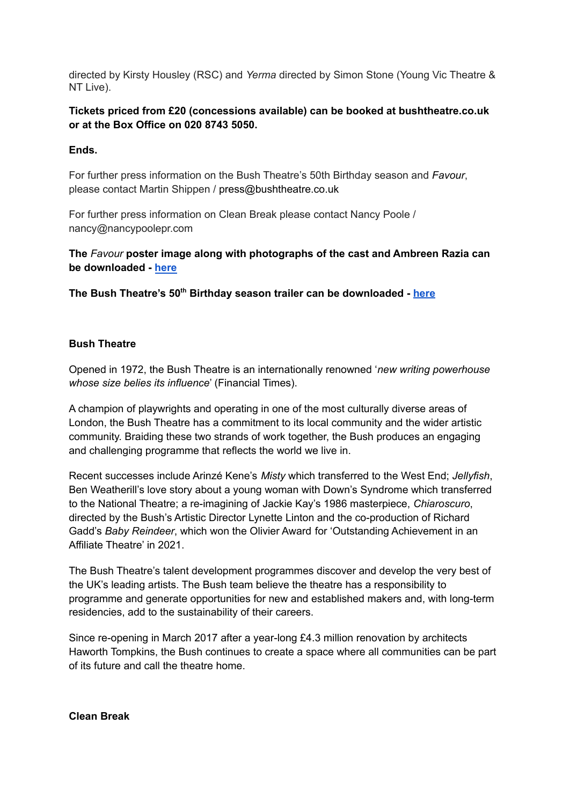directed by Kirsty Housley (RSC) and *Yerma* directed by Simon Stone (Young Vic Theatre & NT Live).

### **Tickets priced from £20 (concessions available) can be booked at bushtheatre.co.uk or at the Box Office on 020 8743 5050.**

### **Ends.**

For further press information on the Bush Theatre's 50th Birthday season and *Favour*, please contact Martin Shippen / press@bushtheatre.co.uk

For further press information on Clean Break please contact Nancy Poole / nancy@nancypoolepr.com

**The** *Favour* **poster image along with photographs of the cast and Ambreen Razia can be downloaded - [here](https://we.tl/t-QI0KcL5H5L)**

**The Bush Theatre's 50 th Birthday season trailer can be downloaded - [here](https://we.tl/t-fDZHQV4HVn)**

#### **Bush Theatre**

Opened in 1972, the Bush Theatre is an internationally renowned '*new writing powerhouse whose size belies its influence*' (Financial Times).

A champion of playwrights and operating in one of the most culturally diverse areas of London, the Bush Theatre has a commitment to its local community and the wider artistic community. Braiding these two strands of work together, the Bush produces an engaging and challenging programme that reflects the world we live in.

Recent successes include Arinzé Kene's *Misty* which transferred to the West End; *Jellyfish*, Ben Weatherill's love story about a young woman with Down's Syndrome which transferred to the National Theatre; a re-imagining of Jackie Kay's 1986 masterpiece, *Chiaroscuro*, directed by the Bush's Artistic Director Lynette Linton and the co-production of Richard Gadd's *Baby Reindeer*, which won the Olivier Award for 'Outstanding Achievement in an Affiliate Theatre' in 2021.

The Bush Theatre's talent development programmes discover and develop the very best of the UK's leading artists. The Bush team believe the theatre has a responsibility to programme and generate opportunities for new and established makers and, with long-term residencies, add to the sustainability of their careers.

Since re-opening in March 2017 after a year-long £4.3 million renovation by architects Haworth Tompkins, the Bush continues to create a space where all communities can be part of its future and call the theatre home.

**Clean Break**